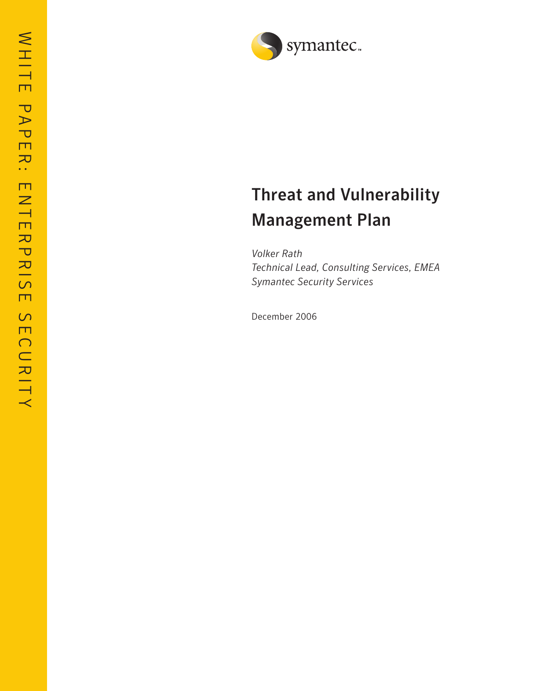

# Threat and Vulnerability Management Plan

*Volker Rath Technical Lead, Consulting Services, EMEA Symantec Security Services*

December 2006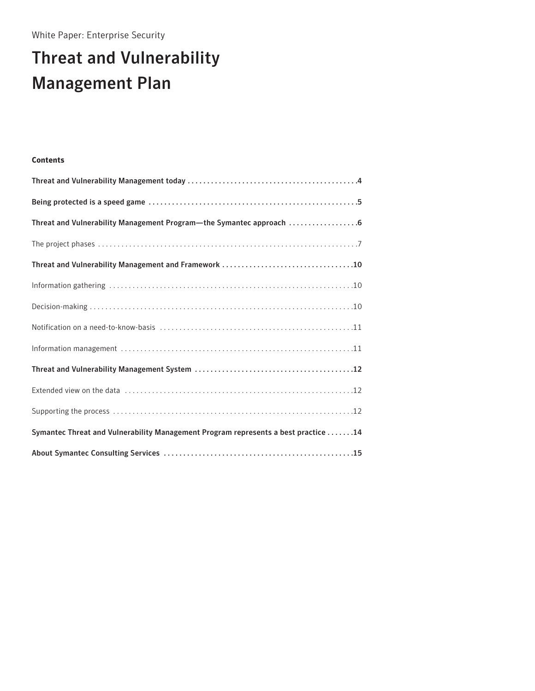White Paper: Enterprise Security

# Threat and Vulnerability Management Plan

# **Contents**

| Threat and Vulnerability Management Program—the Symantec approach                  |
|------------------------------------------------------------------------------------|
|                                                                                    |
|                                                                                    |
|                                                                                    |
|                                                                                    |
|                                                                                    |
|                                                                                    |
|                                                                                    |
|                                                                                    |
|                                                                                    |
| Symantec Threat and Vulnerability Management Program represents a best practice 14 |
|                                                                                    |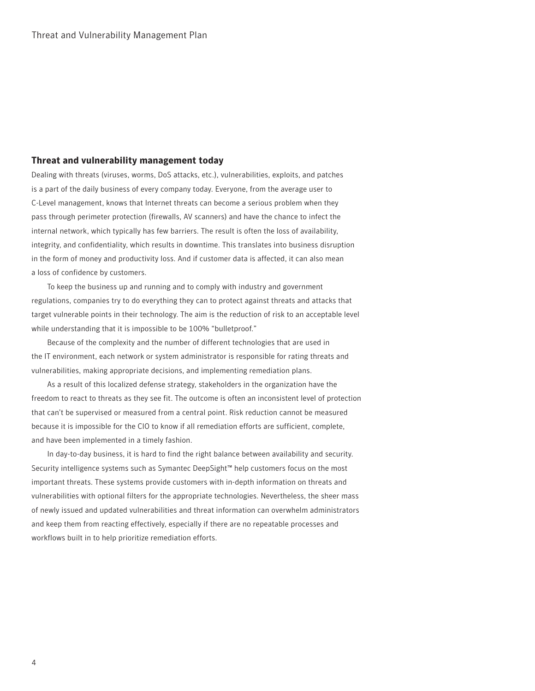### **Threat and vulnerability management today**

Dealing with threats (viruses, worms, DoS attacks, etc.), vulnerabilities, exploits, and patches is a part of the daily business of every company today. Everyone, from the average user to C-Level management, knows that Internet threats can become a serious problem when they pass through perimeter protection (firewalls, AV scanners) and have the chance to infect the internal network, which typically has few barriers. The result is often the loss of availability, integrity, and confidentiality, which results in downtime. This translates into business disruption in the form of money and productivity loss. And if customer data is affected, it can also mean a loss of confidence by customers.

To keep the business up and running and to comply with industry and government regulations, companies try to do everything they can to protect against threats and attacks that target vulnerable points in their technology. The aim is the reduction of risk to an acceptable level while understanding that it is impossible to be 100% "bulletproof."

Because of the complexity and the number of different technologies that are used in the IT environment, each network or system administrator is responsible for rating threats and vulnerabilities, making appropriate decisions, and implementing remediation plans.

As a result of this localized defense strategy, stakeholders in the organization have the freedom to react to threats as they see fit. The outcome is often an inconsistent level of protection that can't be supervised or measured from a central point. Risk reduction cannot be measured because it is impossible for the CIO to know if all remediation efforts are sufficient, complete, and have been implemented in a timely fashion.

In day-to-day business, it is hard to find the right balance between availability and security. Security intelligence systems such as Symantec DeepSight™ help customers focus on the most important threats. These systems provide customers with in-depth information on threats and vulnerabilities with optional filters for the appropriate technologies. Nevertheless, the sheer mass of newly issued and updated vulnerabilities and threat information can overwhelm administrators and keep them from reacting effectively, especially if there are no repeatable processes and workflows built in to help prioritize remediation efforts.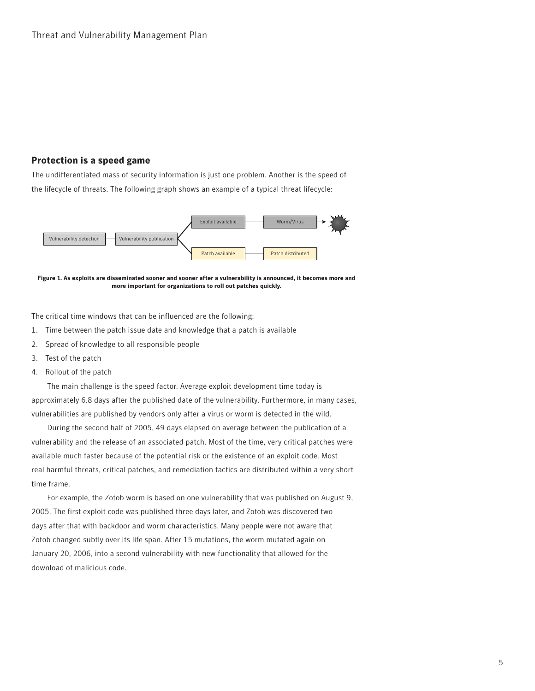# **Protection is a speed game**

The undifferentiated mass of security information is just one problem. Another is the speed of the lifecycle of threats. The following graph shows an example of a typical threat lifecycle:



**Figure 1. As exploits are disseminated sooner and sooner after a vulnerability is announced, it becomes more and more important for organizations to roll out patches quickly.**

The critical time windows that can be influenced are the following:

- 1. Time between the patch issue date and knowledge that a patch is available
- 2. Spread of knowledge to all responsible people
- 3. Test of the patch
- 4. Rollout of the patch

The main challenge is the speed factor. Average exploit development time today is approximately 6.8 days after the published date of the vulnerability. Furthermore, in many cases, vulnerabilities are published by vendors only after a virus or worm is detected in the wild.

During the second half of 2005, 49 days elapsed on average between the publication of a vulnerability and the release of an associated patch. Most of the time, very critical patches were available much faster because of the potential risk or the existence of an exploit code. Most real harmful threats, critical patches, and remediation tactics are distributed within a very short time frame.

For example, the Zotob worm is based on one vulnerability that was published on August 9, 2005. The first exploit code was published three days later, and Zotob was discovered two days after that with backdoor and worm characteristics. Many people were not aware that Zotob changed subtly over its life span. After 15 mutations, the worm mutated again on January 20, 2006, into a second vulnerability with new functionality that allowed for the download of malicious code.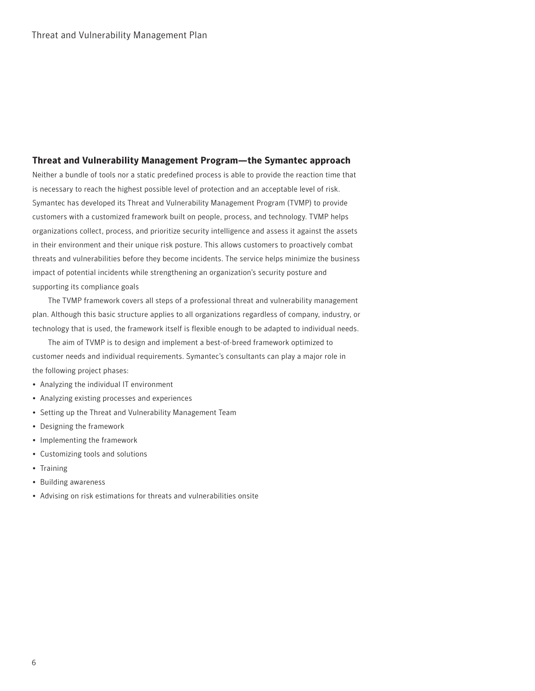# **Threat and Vulnerability Management Program—the Symantec approach**

Neither a bundle of tools nor a static predefined process is able to provide the reaction time that is necessary to reach the highest possible level of protection and an acceptable level of risk. Symantec has developed its Threat and Vulnerability Management Program (TVMP) to provide customers with a customized framework built on people, process, and technology. TVMP helps organizations collect, process, and prioritize security intelligence and assess it against the assets in their environment and their unique risk posture. This allows customers to proactively combat threats and vulnerabilities before they become incidents. The service helps minimize the business impact of potential incidents while strengthening an organization's security posture and supporting its compliance goals

The TVMP framework covers all steps of a professional threat and vulnerability management plan. Although this basic structure applies to all organizations regardless of company, industry, or technology that is used, the framework itself is flexible enough to be adapted to individual needs.

The aim of TVMP is to design and implement a best-of-breed framework optimized to customer needs and individual requirements. Symantec's consultants can play a major role in the following project phases:

- Analyzing the individual IT environment
- Analyzing existing processes and experiences
- Setting up the Threat and Vulnerability Management Team
- Designing the framework
- Implementing the framework
- Customizing tools and solutions
- Training
- Building awareness
- Advising on risk estimations for threats and vulnerabilities onsite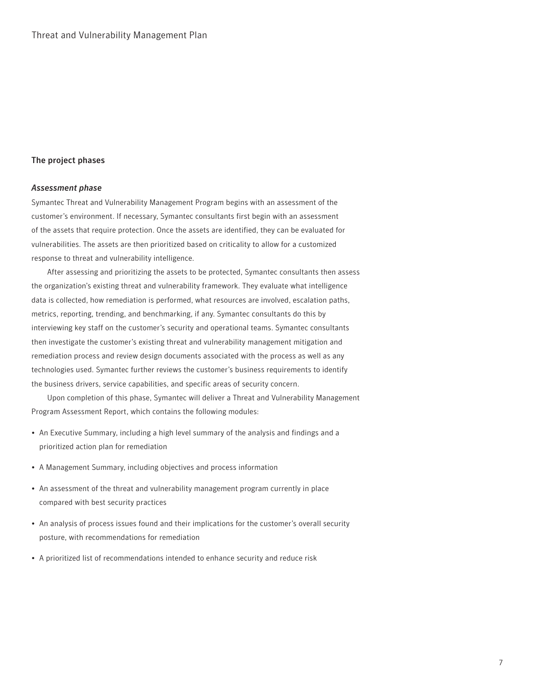## The project phases

#### *Assessment phase*

Symantec Threat and Vulnerability Management Program begins with an assessment of the customer's environment. If necessary, Symantec consultants first begin with an assessment of the assets that require protection. Once the assets are identified, they can be evaluated for vulnerabilities. The assets are then prioritized based on criticality to allow for a customized response to threat and vulnerability intelligence.

After assessing and prioritizing the assets to be protected, Symantec consultants then assess the organization's existing threat and vulnerability framework. They evaluate what intelligence data is collected, how remediation is performed, what resources are involved, escalation paths, metrics, reporting, trending, and benchmarking, if any. Symantec consultants do this by interviewing key staff on the customer's security and operational teams. Symantec consultants then investigate the customer's existing threat and vulnerability management mitigation and remediation process and review design documents associated with the process as well as any technologies used. Symantec further reviews the customer's business requirements to identify the business drivers, service capabilities, and specific areas of security concern.

Upon completion of this phase, Symantec will deliver a Threat and Vulnerability Management Program Assessment Report, which contains the following modules:

- An Executive Summary, including a high level summary of the analysis and findings and a prioritized action plan for remediation
- A Management Summary, including objectives and process information
- An assessment of the threat and vulnerability management program currently in place compared with best security practices
- An analysis of process issues found and their implications for the customer's overall security posture, with recommendations for remediation
- A prioritized list of recommendations intended to enhance security and reduce risk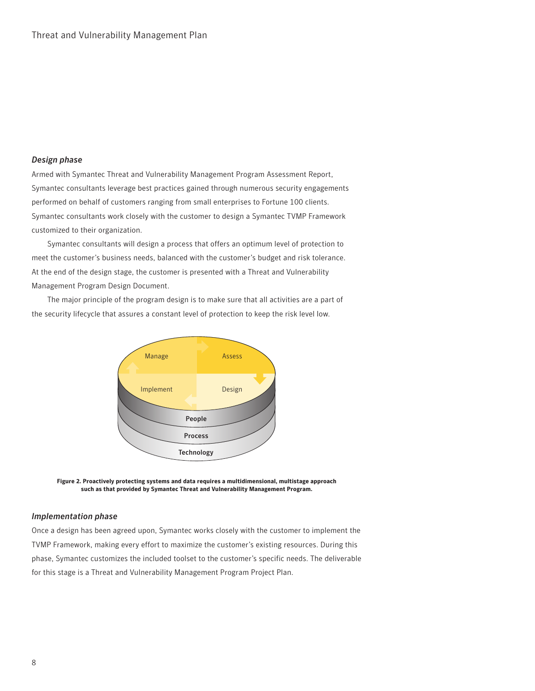# *Design phase*

Armed with Symantec Threat and Vulnerability Management Program Assessment Report, Symantec consultants leverage best practices gained through numerous security engagements performed on behalf of customers ranging from small enterprises to Fortune 100 clients. Symantec consultants work closely with the customer to design a Symantec TVMP Framework customized to their organization.

Symantec consultants will design a process that offers an optimum level of protection to meet the customer's business needs, balanced with the customer's budget and risk tolerance. At the end of the design stage, the customer is presented with a Threat and Vulnerability Management Program Design Document.

The major principle of the program design is to make sure that all activities are a part of the security lifecycle that assures a constant level of protection to keep the risk level low.



**Figure 2. Proactively protecting systems and data requires a multidimensional, multistage approach such as that provided by Symantec Threat and Vulnerability Management Program.**

#### *Implementation phase*

Once a design has been agreed upon, Symantec works closely with the customer to implement the TVMP Framework, making every effort to maximize the customer's existing resources. During this phase, Symantec customizes the included toolset to the customer's specific needs. The deliverable for this stage is a Threat and Vulnerability Management Program Project Plan.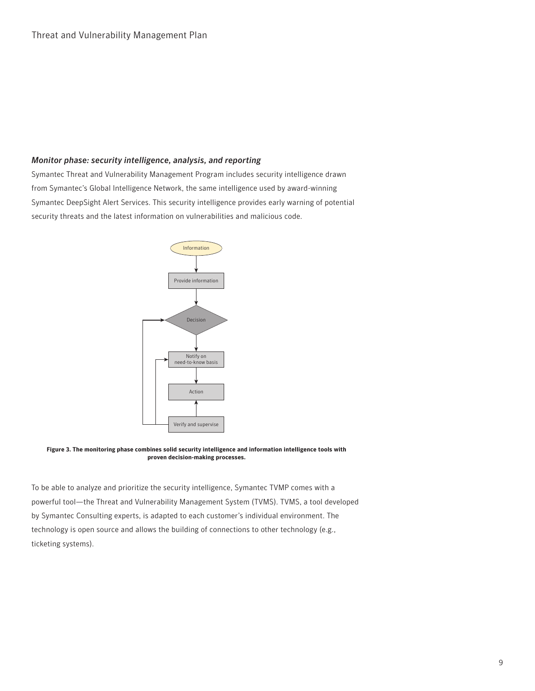# Threat and Vulnerability Management Plan

#### *Monitor phase: security intelligence, analysis, and reporting*

Symantec Threat and Vulnerability Management Program includes security intelligence drawn from Symantec's Global Intelligence Network, the same intelligence used by award-winning Symantec DeepSight Alert Services. This security intelligence provides early warning of potential security threats and the latest information on vulnerabilities and malicious code.



**Figure 3. The monitoring phase combines solid security intelligence and information intelligence tools with proven decision-making processes.**

To be able to analyze and prioritize the security intelligence, Symantec TVMP comes with a powerful tool—the Threat and Vulnerability Management System (TVMS). TVMS, a tool developed by Symantec Consulting experts, is adapted to each customer's individual environment. The technology is open source and allows the building of connections to other technology (e.g., ticketing systems).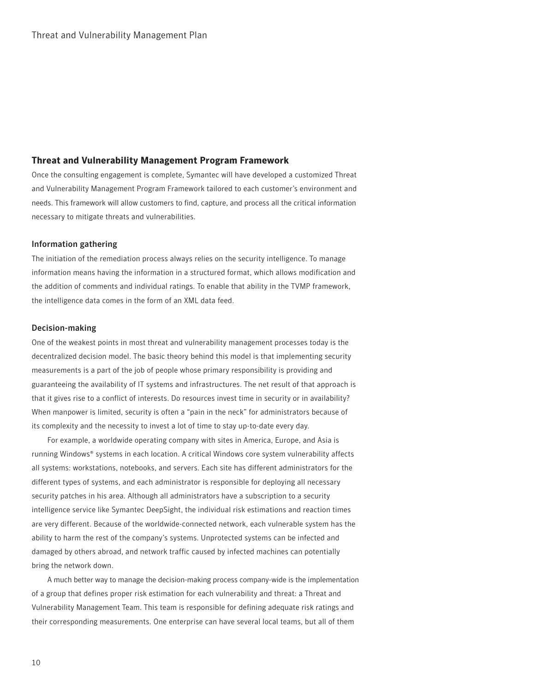## **Threat and Vulnerability Management Program Framework**

Once the consulting engagement is complete, Symantec will have developed a customized Threat and Vulnerability Management Program Framework tailored to each customer's environment and needs. This framework will allow customers to find, capture, and process all the critical information necessary to mitigate threats and vulnerabilities.

### Information gathering

The initiation of the remediation process always relies on the security intelligence. To manage information means having the information in a structured format, which allows modification and the addition of comments and individual ratings. To enable that ability in the TVMP framework, the intelligence data comes in the form of an XML data feed.

#### Decision-making

One of the weakest points in most threat and vulnerability management processes today is the decentralized decision model. The basic theory behind this model is that implementing security measurements is a part of the job of people whose primary responsibility is providing and guaranteeing the availability of IT systems and infrastructures. The net result of that approach is that it gives rise to a conflict of interests. Do resources invest time in security or in availability? When manpower is limited, security is often a "pain in the neck" for administrators because of its complexity and the necessity to invest a lot of time to stay up-to-date every day.

For example, a worldwide operating company with sites in America, Europe, and Asia is running Windows® systems in each location. A critical Windows core system vulnerability affects all systems: workstations, notebooks, and servers. Each site has different administrators for the different types of systems, and each administrator is responsible for deploying all necessary security patches in his area. Although all administrators have a subscription to a security intelligence service like Symantec DeepSight, the individual risk estimations and reaction times are very different. Because of the worldwide-connected network, each vulnerable system has the ability to harm the rest of the company's systems. Unprotected systems can be infected and damaged by others abroad, and network traffic caused by infected machines can potentially bring the network down.

A much better way to manage the decision-making process company-wide is the implementation of a group that defines proper risk estimation for each vulnerability and threat: a Threat and Vulnerability Management Team. This team is responsible for defining adequate risk ratings and their corresponding measurements. One enterprise can have several local teams, but all of them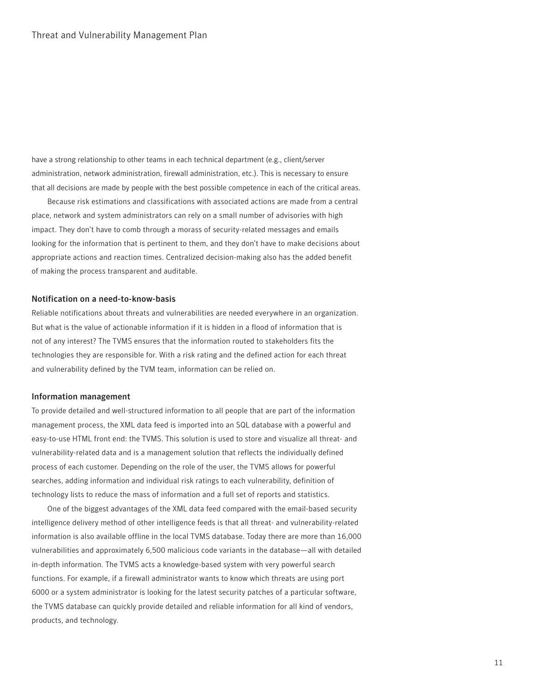have a strong relationship to other teams in each technical department (e.g., client/server administration, network administration, firewall administration, etc.). This is necessary to ensure that all decisions are made by people with the best possible competence in each of the critical areas.

Because risk estimations and classifications with associated actions are made from a central place, network and system administrators can rely on a small number of advisories with high impact. They don't have to comb through a morass of security-related messages and emails looking for the information that is pertinent to them, and they don't have to make decisions about appropriate actions and reaction times. Centralized decision-making also has the added benefit of making the process transparent and auditable.

#### Notification on a need-to-know-basis

Reliable notifications about threats and vulnerabilities are needed everywhere in an organization. But what is the value of actionable information if it is hidden in a flood of information that is not of any interest? The TVMS ensures that the information routed to stakeholders fits the technologies they are responsible for. With a risk rating and the defined action for each threat and vulnerability defined by the TVM team, information can be relied on.

#### Information management

To provide detailed and well-structured information to all people that are part of the information management process, the XML data feed is imported into an SQL database with a powerful and easy-to-use HTML front end: the TVMS. This solution is used to store and visualize all threat- and vulnerability-related data and is a management solution that reflects the individually defined process of each customer. Depending on the role of the user, the TVMS allows for powerful searches, adding information and individual risk ratings to each vulnerability, definition of technology lists to reduce the mass of information and a full set of reports and statistics.

One of the biggest advantages of the XML data feed compared with the email-based security intelligence delivery method of other intelligence feeds is that all threat- and vulnerability-related information is also available offline in the local TVMS database. Today there are more than 16,000 vulnerabilities and approximately 6,500 malicious code variants in the database—all with detailed in-depth information. The TVMS acts a knowledge-based system with very powerful search functions. For example, if a firewall administrator wants to know which threats are using port 6000 or a system administrator is looking for the latest security patches of a particular software, the TVMS database can quickly provide detailed and reliable information for all kind of vendors, products, and technology.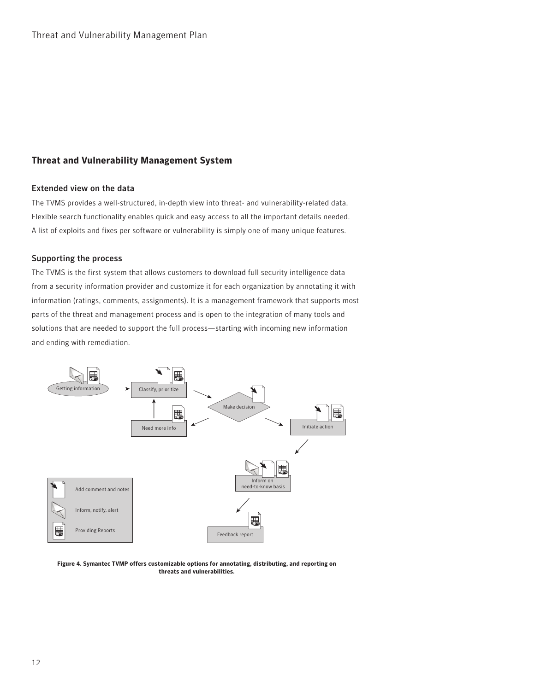# **Threat and Vulnerability Management System**

#### Extended view on the data

The TVMS provides a well-structured, in-depth view into threat- and vulnerability-related data. Flexible search functionality enables quick and easy access to all the important details needed. A list of exploits and fixes per software or vulnerability is simply one of many unique features.

#### Supporting the process

The TVMS is the first system that allows customers to download full security intelligence data from a security information provider and customize it for each organization by annotating it with information (ratings, comments, assignments). It is a management framework that supports most parts of the threat and management process and is open to the integration of many tools and solutions that are needed to support the full process—starting with incoming new information and ending with remediation.



**Figure 4. Symantec TVMP offers customizable options for annotating, distributing, and reporting on threats and vulnerabilities.**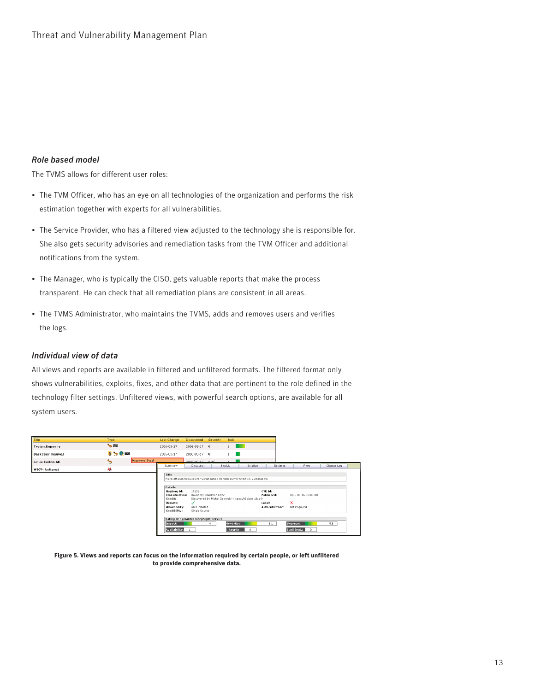# *Role based model*

The TVMS allows for different user roles:

- The TVM Officer, who has an eye on all technologies of the organization and performs the risk estimation together with experts for all vulnerabilities.
- The Service Provider, who has a filtered view adjusted to the technology she is responsible for. She also gets security advisories and remediation tasks from the TVM Officer and additional notifications from the system.
- The Manager, who is typically the CISO, gets valuable reports that make the process transparent. He can check that all remediation plans are consistent in all areas.
- The TVMS Administrator, who maintains the TVMS, adds and removes users and verifies the logs.

## *Individual view of data*

All views and reports are available in filtered and unfiltered formats. The filtered format only shows vulnerabilities, exploits, fixes, and other data that are pertinent to the role defined in the technology filter settings. Unfiltered views, with powerful search options, are available for all system users.



**Figure 5. Views and reports can focus on the information required by certain people, or left unfiltered to provide comprehensive data.**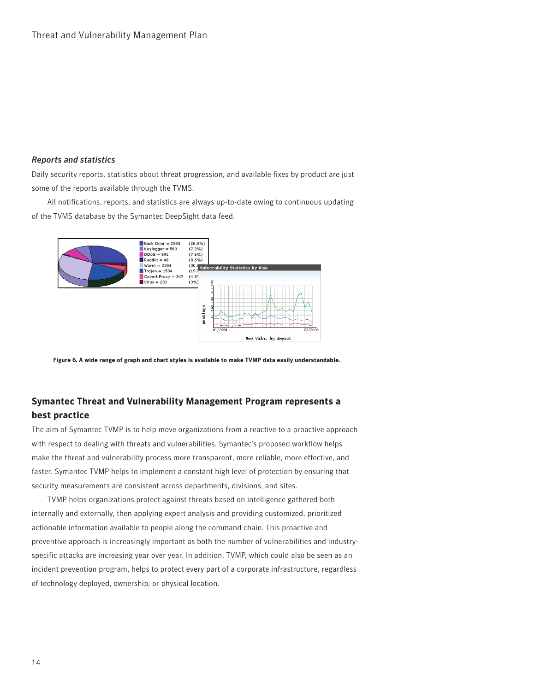## *Reports and statistics*

Daily security reports, statistics about threat progression, and available fixes by product are just some of the reports available through the TVMS.

All notifications, reports, and statistics are always up-to-date owing to continuous updating of the TVMS database by the Symantec DeepSight data feed.



**Figure 6. A wide range of graph and chart styles is available to make TVMP data easily understandable.**

# **Symantec Threat and Vulnerability Management Program represents a best practice**

The aim of Symantec TVMP is to help move organizations from a reactive to a proactive approach with respect to dealing with threats and vulnerabilities. Symantec's proposed workflow helps make the threat and vulnerability process more transparent, more reliable, more effective, and faster. Symantec TVMP helps to implement a constant high level of protection by ensuring that security measurements are consistent across departments, divisions, and sites.

TVMP helps organizations protect against threats based on intelligence gathered both internally and externally, then applying expert analysis and providing customized, prioritized actionable information available to people along the command chain. This proactive and preventive approach is increasingly important as both the number of vulnerabilities and industryspecific attacks are increasing year over year. In addition, TVMP, which could also be seen as an incident prevention program, helps to protect every part of a corporate infrastructure, regardless of technology deployed, ownership, or physical location.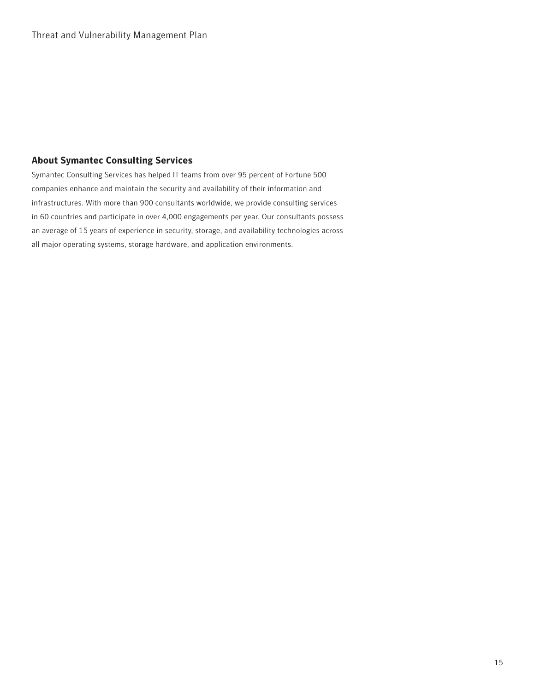# **About Symantec Consulting Services**

Symantec Consulting Services has helped IT teams from over 95 percent of Fortune 500 companies enhance and maintain the security and availability of their information and infrastructures. With more than 900 consultants worldwide, we provide consulting services in 60 countries and participate in over 4,000 engagements per year. Our consultants possess an average of 15 years of experience in security, storage, and availability technologies across all major operating systems, storage hardware, and application environments.